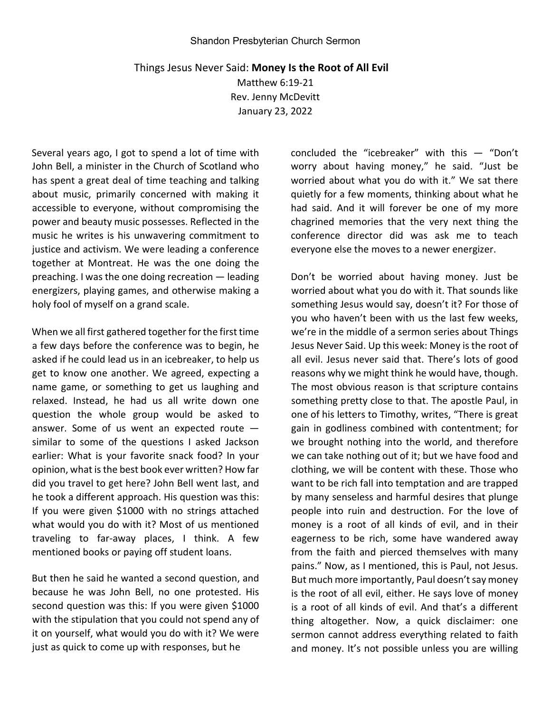## Shandon Presbyterian Church Sermon

## Things Jesus Never Said: **Money Is the Root of All Evil**

Matthew 6:19-21 Rev. Jenny McDevitt January 23, 2022

Several years ago, I got to spend a lot of time with John Bell, a minister in the Church of Scotland who has spent a great deal of time teaching and talking about music, primarily concerned with making it accessible to everyone, without compromising the power and beauty music possesses. Reflected in the music he writes is his unwavering commitment to justice and activism. We were leading a conference together at Montreat. He was the one doing the preaching. I was the one doing recreation — leading energizers, playing games, and otherwise making a holy fool of myself on a grand scale.

When we all first gathered together for the first time a few days before the conference was to begin, he asked if he could lead us in an icebreaker, to help us get to know one another. We agreed, expecting a name game, or something to get us laughing and relaxed. Instead, he had us all write down one question the whole group would be asked to answer. Some of us went an expected route similar to some of the questions I asked Jackson earlier: What is your favorite snack food? In your opinion, what is the best book ever written? How far did you travel to get here? John Bell went last, and he took a different approach. His question was this: If you were given \$1000 with no strings attached what would you do with it? Most of us mentioned traveling to far-away places, I think. A few mentioned books or paying off student loans.

But then he said he wanted a second question, and because he was John Bell, no one protested. His second question was this: If you were given \$1000 with the stipulation that you could not spend any of it on yourself, what would you do with it? We were just as quick to come up with responses, but he

concluded the "icebreaker" with this — "Don't worry about having money," he said. "Just be worried about what you do with it." We sat there quietly for a few moments, thinking about what he had said. And it will forever be one of my more chagrined memories that the very next thing the conference director did was ask me to teach everyone else the moves to a newer energizer.

Don't be worried about having money. Just be worried about what you do with it. That sounds like something Jesus would say, doesn't it? For those of you who haven't been with us the last few weeks, we're in the middle of a sermon series about Things Jesus Never Said. Up this week: Money is the root of all evil. Jesus never said that. There's lots of good reasons why we might think he would have, though. The most obvious reason is that scripture contains something pretty close to that. The apostle Paul, in one of his letters to Timothy, writes, "There is great gain in godliness combined with contentment; for we brought nothing into the world, and therefore we can take nothing out of it; but we have food and clothing, we will be content with these. Those who want to be rich fall into temptation and are trapped by many senseless and harmful desires that plunge people into ruin and destruction. For the love of money is a root of all kinds of evil, and in their eagerness to be rich, some have wandered away from the faith and pierced themselves with many pains." Now, as I mentioned, this is Paul, not Jesus. But much more importantly, Paul doesn't say money is the root of all evil, either. He says love of money is a root of all kinds of evil. And that's a different thing altogether. Now, a quick disclaimer: one sermon cannot address everything related to faith and money. It's not possible unless you are willing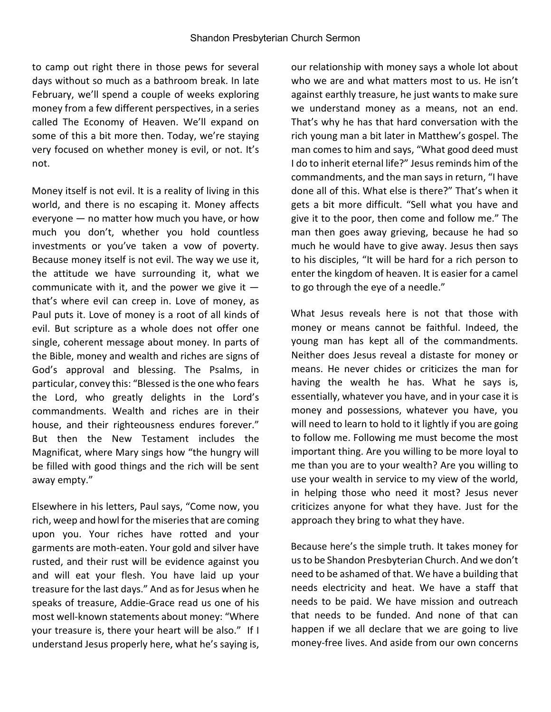to camp out right there in those pews for several days without so much as a bathroom break. In late February, we'll spend a couple of weeks exploring money from a few different perspectives, in a series called The Economy of Heaven. We'll expand on some of this a bit more then. Today, we're staying very focused on whether money is evil, or not. It's not.

Money itself is not evil. It is a reality of living in this world, and there is no escaping it. Money affects everyone — no matter how much you have, or how much you don't, whether you hold countless investments or you've taken a vow of poverty. Because money itself is not evil. The way we use it, the attitude we have surrounding it, what we communicate with it, and the power we give it  $$ that's where evil can creep in. Love of money, as Paul puts it. Love of money is a root of all kinds of evil. But scripture as a whole does not offer one single, coherent message about money. In parts of the Bible, money and wealth and riches are signs of God's approval and blessing. The Psalms, in particular, convey this: "Blessed is the one who fears the Lord, who greatly delights in the Lord's commandments. Wealth and riches are in their house, and their righteousness endures forever." But then the New Testament includes the Magnificat, where Mary sings how "the hungry will be filled with good things and the rich will be sent away empty."

Elsewhere in his letters, Paul says, "Come now, you rich, weep and howl for the miseries that are coming upon you. Your riches have rotted and your garments are moth-eaten. Your gold and silver have rusted, and their rust will be evidence against you and will eat your flesh. You have laid up your treasure for the last days." And as for Jesus when he speaks of treasure, Addie-Grace read us one of his most well-known statements about money: "Where your treasure is, there your heart will be also." If I understand Jesus properly here, what he's saying is,

our relationship with money says a whole lot about who we are and what matters most to us. He isn't against earthly treasure, he just wants to make sure we understand money as a means, not an end. That's why he has that hard conversation with the rich young man a bit later in Matthew's gospel. The man comes to him and says, "What good deed must I do to inherit eternal life?" Jesus reminds him of the commandments, and the man says in return, "I have done all of this. What else is there?" That's when it gets a bit more difficult. "Sell what you have and give it to the poor, then come and follow me." The man then goes away grieving, because he had so much he would have to give away. Jesus then says to his disciples, "It will be hard for a rich person to enter the kingdom of heaven. It is easier for a camel to go through the eye of a needle."

What Jesus reveals here is not that those with money or means cannot be faithful. Indeed, the young man has kept all of the commandments. Neither does Jesus reveal a distaste for money or means. He never chides or criticizes the man for having the wealth he has. What he says is, essentially, whatever you have, and in your case it is money and possessions, whatever you have, you will need to learn to hold to it lightly if you are going to follow me. Following me must become the most important thing. Are you willing to be more loyal to me than you are to your wealth? Are you willing to use your wealth in service to my view of the world, in helping those who need it most? Jesus never criticizes anyone for what they have. Just for the approach they bring to what they have.

Because here's the simple truth. It takes money for us to be Shandon Presbyterian Church. And we don't need to be ashamed of that. We have a building that needs electricity and heat. We have a staff that needs to be paid. We have mission and outreach that needs to be funded. And none of that can happen if we all declare that we are going to live money-free lives. And aside from our own concerns